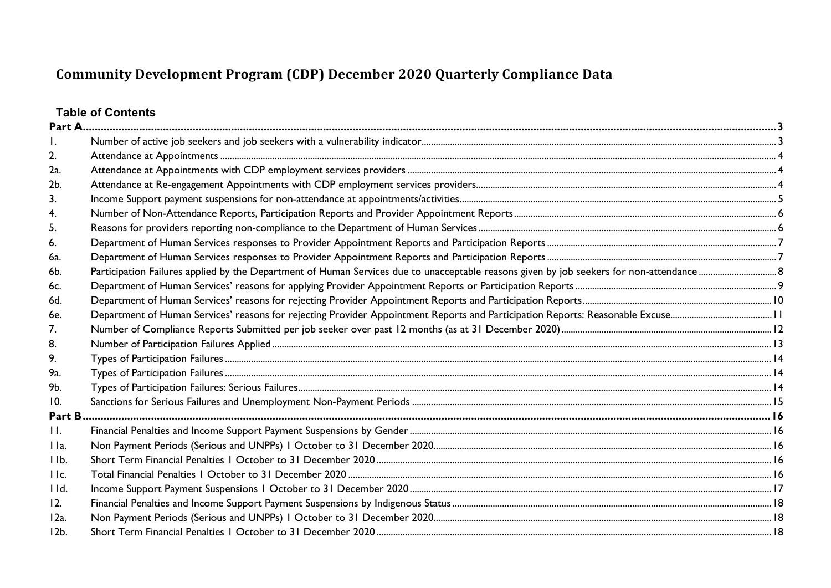# **Table of Contents**

| 2.      |  |
|---------|--|
| 2a.     |  |
| 2b.     |  |
| 3.      |  |
| 4.      |  |
| 5.      |  |
| 6.      |  |
| 6a.     |  |
| 6b.     |  |
| 6c.     |  |
| 6d.     |  |
| 6e.     |  |
| 7.      |  |
| 8.      |  |
| 9.      |  |
| 9a.     |  |
| 9b.     |  |
| 10.     |  |
| Part B  |  |
| П.      |  |
| IIa.    |  |
| IIb.    |  |
| IIc.    |  |
| 11d.    |  |
| 12.     |  |
| $12a$ . |  |
| $12b$ . |  |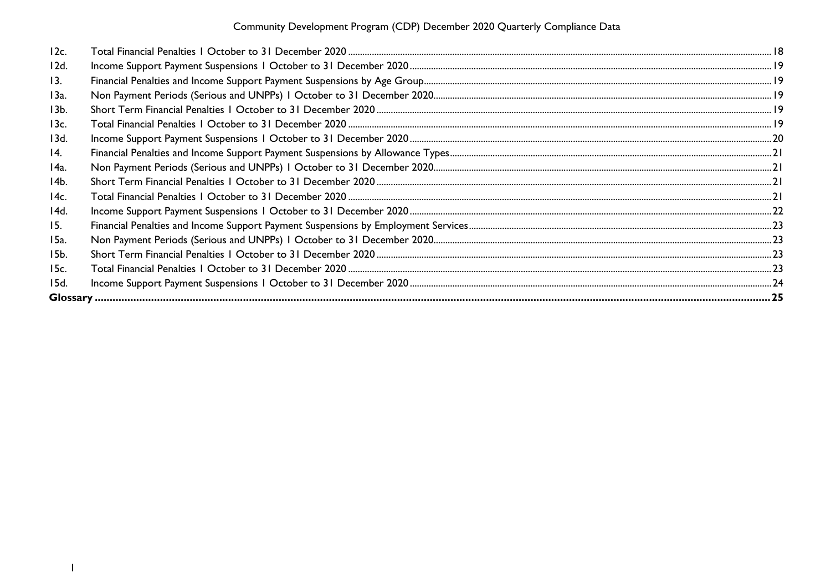| 12c.            |  |
|-----------------|--|
| 12d.            |  |
| 13.             |  |
| 13a.            |  |
| 13 <sub>b</sub> |  |
| 13c.            |  |
| 13d.            |  |
| 14.             |  |
| 14a.            |  |
| 14b.            |  |
| 14c.            |  |
| 14d.            |  |
| 15.             |  |
| 15a.            |  |
| 15b.            |  |
| 15c.            |  |
| 15d.            |  |
|                 |  |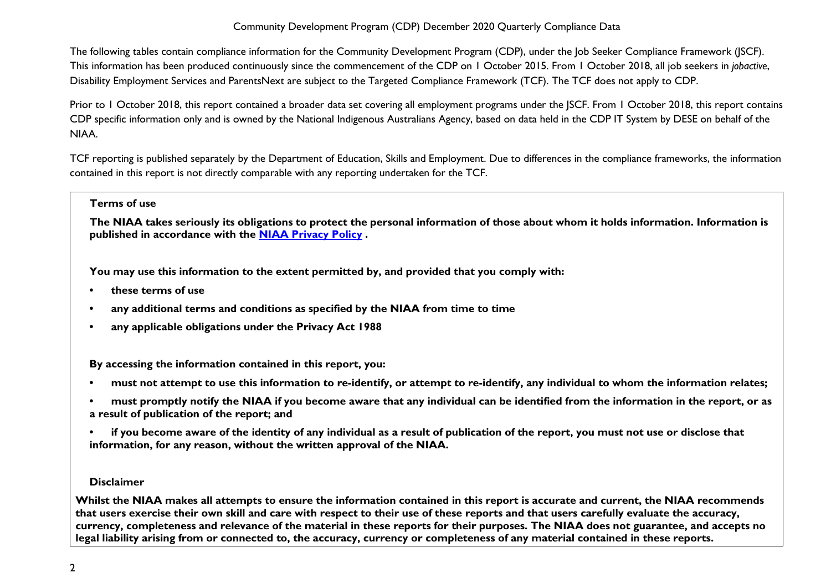The following tables contain compliance information for the Community Development Program (CDP), under the Job Seeker Compliance Framework (JSCF). This information has been produced continuously since the commencement of the CDP on 1 October 2015. From 1 October 2018, all job seekers in *jobactive*, Disability Employment Services and ParentsNext are subject to the Targeted Compliance Framework (TCF). The TCF does not apply to CDP.

Prior to 1 October 2018, this report contained a broader data set covering all employment programs under the JSCF. From 1 October 2018, this report contains CDP specific information only and is owned by the National Indigenous Australians Agency, based on data held in the CDP IT System by DESE on behalf of the NIAA.

TCF reporting is published separately by the Department of Education, Skills and Employment. Due to differences in the compliance frameworks, the information contained in this report is not directly comparable with any reporting undertaken for the TCF.

#### **Terms of use**

**The NIAA takes seriously its obligations to protect the personal information of those about whom it holds information. Information is published in accordance with the [NIAA Privacy Policy](https://www.niaa.gov.au/pmc/who-we-are/accountability-and-reporting/privacy-policy) .** 

**You may use this information to the extent permitted by, and provided that you comply with:**

- **these terms of use**
- **any additional terms and conditions as specified by the NIAA from time to time**
- **any applicable obligations under the Privacy Act 1988**

**By accessing the information contained in this report, you:** 

- **must not attempt to use this information to re-identify, or attempt to re-identify, any individual to whom the information relates;**
- **must promptly notify the NIAA if you become aware that any individual can be identified from the information in the report, or as a result of publication of the report; and**
- **if you become aware of the identity of any individual as a result of publication of the report, you must not use or disclose that information, for any reason, without the written approval of the NIAA.**

#### **Disclaimer**

**Whilst the NIAA makes all attempts to ensure the information contained in this report is accurate and current, the NIAA recommends that users exercise their own skill and care with respect to their use of these reports and that users carefully evaluate the accuracy, currency, completeness and relevance of the material in these reports for their purposes. The NIAA does not guarantee, and accepts no legal liability arising from or connected to, the accuracy, currency or completeness of any material contained in these reports.**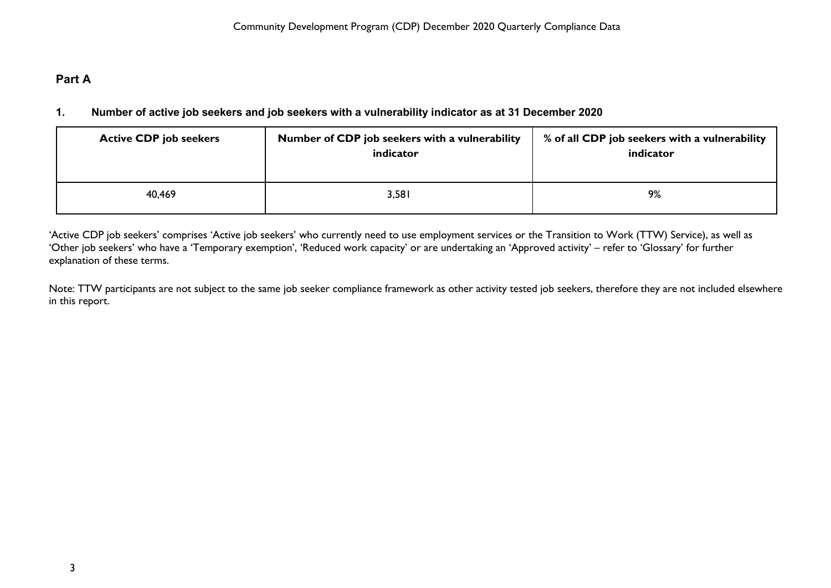# <span id="page-3-1"></span><span id="page-3-0"></span>**Part A**

### **1. Number of active job seekers and job seekers with a vulnerability indicator as at 31 December 2020**

| <b>Active CDP job seekers</b> | Number of CDP job seekers with a vulnerability<br>indicator | % of all CDP job seekers with a vulnerability<br>indicator |
|-------------------------------|-------------------------------------------------------------|------------------------------------------------------------|
| 40,469                        | 3,581                                                       | 9%                                                         |

'Active CDP job seekers' comprises 'Active job seekers' who currently need to use employment services or the Transition to Work (TTW) Service), as well as 'Other job seekers' who have a 'Temporary exemption', 'Reduced work capacity' or are undertaking an 'Approved activity' – refer to 'Glossary' for further explanation of these terms.

Note: TTW participants are not subject to the same job seeker compliance framework as other activity tested job seekers, therefore they are not included elsewhere in this report.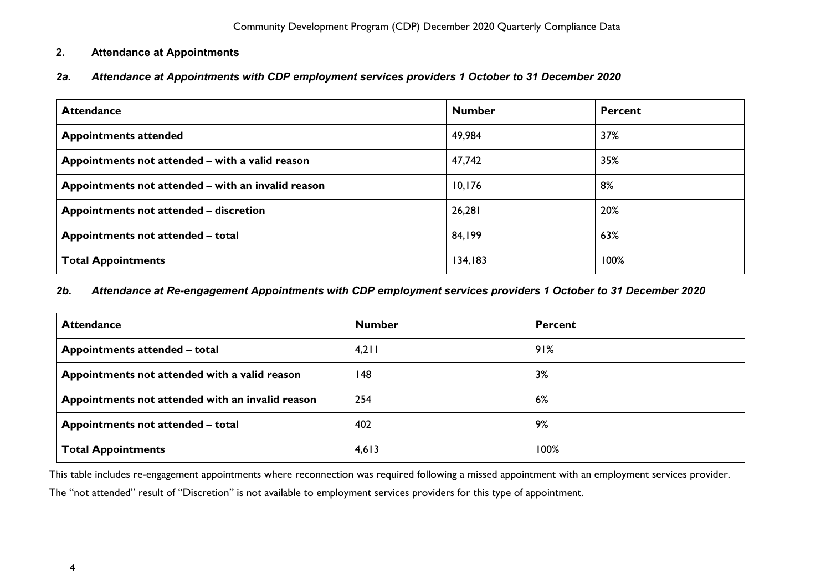### <span id="page-4-0"></span>**2. Attendance at Appointments**

### <span id="page-4-1"></span>*2a. Attendance at Appointments with CDP employment services providers 1 October to 31 December 2020*

| <b>Attendance</b>                                  | <b>Number</b> | <b>Percent</b> |
|----------------------------------------------------|---------------|----------------|
| <b>Appointments attended</b>                       | 49,984        | 37%            |
| Appointments not attended - with a valid reason    | 47,742        | 35%            |
| Appointments not attended – with an invalid reason | 10,176        | 8%             |
| Appointments not attended – discretion             | 26,281        | 20%            |
| Appointments not attended - total                  | 84,199        | 63%            |
| <b>Total Appointments</b>                          | 134,183       | 100%           |

#### <span id="page-4-2"></span>*2b. Attendance at Re-engagement Appointments with CDP employment services providers 1 October to 31 December 2020*

| <b>Attendance</b>                                | <b>Number</b> | <b>Percent</b> |
|--------------------------------------------------|---------------|----------------|
| Appointments attended - total                    | 4,211         | 91%            |
| Appointments not attended with a valid reason    | 148           | 3%             |
| Appointments not attended with an invalid reason | 254           | 6%             |
| Appointments not attended - total                | 402           | 9%             |
| <b>Total Appointments</b>                        | 4,613         | 100%           |

This table includes re-engagement appointments where reconnection was required following a missed appointment with an employment services provider.

The "not attended" result of "Discretion" is not available to employment services providers for this type of appointment.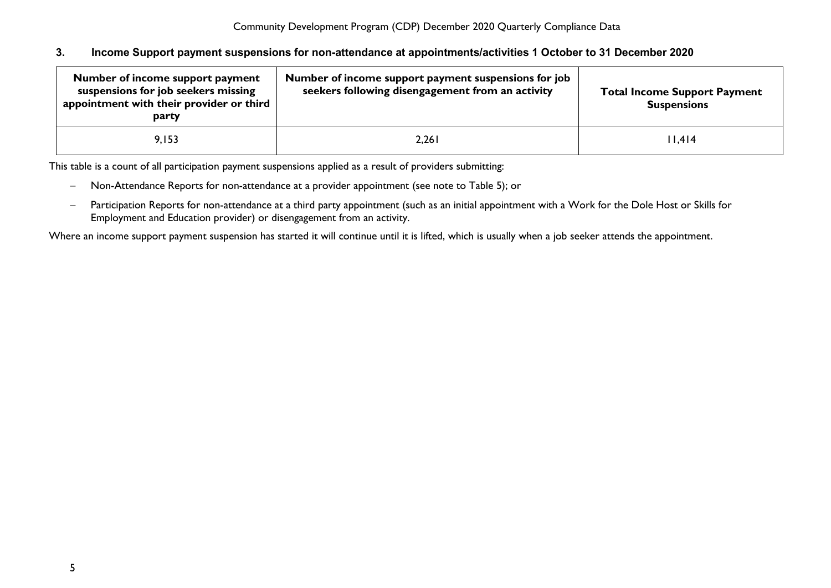#### <span id="page-5-0"></span>**3. Income Support payment suspensions for non-attendance at appointments/activities 1 October to 31 December 2020**

| Number of income support payment<br>suspensions for job seekers missing<br>appointment with their provider or third<br>party | Number of income support payment suspensions for job<br>seekers following disengagement from an activity | <b>Total Income Support Payment</b><br><b>Suspensions</b> |
|------------------------------------------------------------------------------------------------------------------------------|----------------------------------------------------------------------------------------------------------|-----------------------------------------------------------|
| 9.153                                                                                                                        | 2,261                                                                                                    | 11,414                                                    |

This table is a count of all participation payment suspensions applied as a result of providers submitting:

- − Non-Attendance Reports for non-attendance at a provider appointment (see note to Table 5); or
- − Participation Reports for non-attendance at a third party appointment (such as an initial appointment with a Work for the Dole Host or Skills for Employment and Education provider) or disengagement from an activity.

Where an income support payment suspension has started it will continue until it is lifted, which is usually when a job seeker attends the appointment.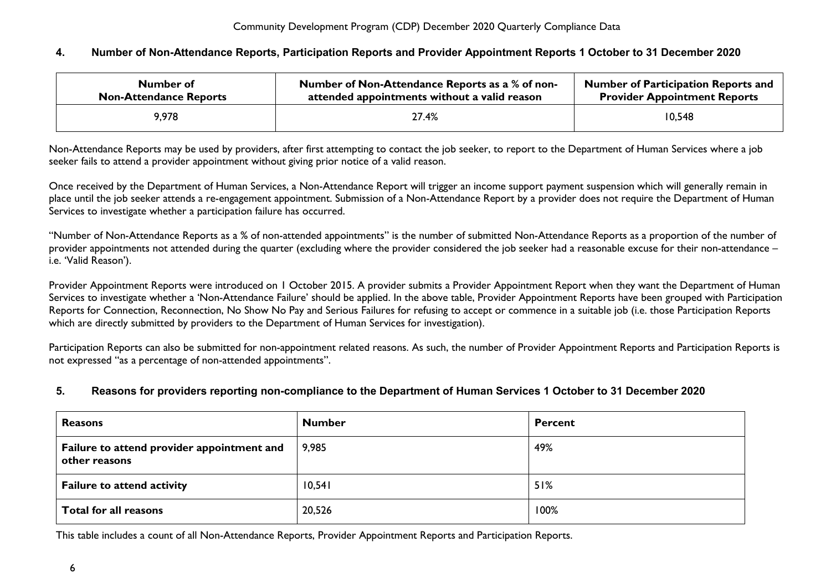#### <span id="page-6-0"></span>**4. Number of Non-Attendance Reports, Participation Reports and Provider Appointment Reports 1 October to 31 December 2020**

| Number of                     | Number of Non-Attendance Reports as a % of non- | <b>Number of Participation Reports and</b> |
|-------------------------------|-------------------------------------------------|--------------------------------------------|
| <b>Non-Attendance Reports</b> | attended appointments without a valid reason    | <b>Provider Appointment Reports</b>        |
| 9,978                         | 27.4%                                           | 10,548                                     |

Non-Attendance Reports may be used by providers, after first attempting to contact the job seeker, to report to the Department of Human Services where a job seeker fails to attend a provider appointment without giving prior notice of a valid reason.

Once received by the Department of Human Services, a Non-Attendance Report will trigger an income support payment suspension which will generally remain in place until the job seeker attends a re-engagement appointment. Submission of a Non-Attendance Report by a provider does not require the Department of Human Services to investigate whether a participation failure has occurred.

"Number of Non-Attendance Reports as a % of non-attended appointments" is the number of submitted Non-Attendance Reports as a proportion of the number of provider appointments not attended during the quarter (excluding where the provider considered the job seeker had a reasonable excuse for their non-attendance – i.e. 'Valid Reason').

Provider Appointment Reports were introduced on 1 October 2015. A provider submits a Provider Appointment Report when they want the Department of Human Services to investigate whether a 'Non-Attendance Failure' should be applied. In the above table, Provider Appointment Reports have been grouped with Participation Reports for Connection, Reconnection, No Show No Pay and Serious Failures for refusing to accept or commence in a suitable job (i.e. those Participation Reports which are directly submitted by providers to the Department of Human Services for investigation).

Participation Reports can also be submitted for non-appointment related reasons. As such, the number of Provider Appointment Reports and Participation Reports is not expressed "as a percentage of non-attended appointments".

#### <span id="page-6-1"></span>**5. Reasons for providers reporting non-compliance to the Department of Human Services 1 October to 31 December 2020**

| <b>Reasons</b>                                              | <b>Number</b> | <b>Percent</b> |
|-------------------------------------------------------------|---------------|----------------|
| Failure to attend provider appointment and<br>other reasons | 9,985         | 49%            |
| <b>Failure to attend activity</b>                           | 10,541        | 51%            |
| Total for all reasons                                       | 20,526        | 100%           |

This table includes a count of all Non-Attendance Reports, Provider Appointment Reports and Participation Reports.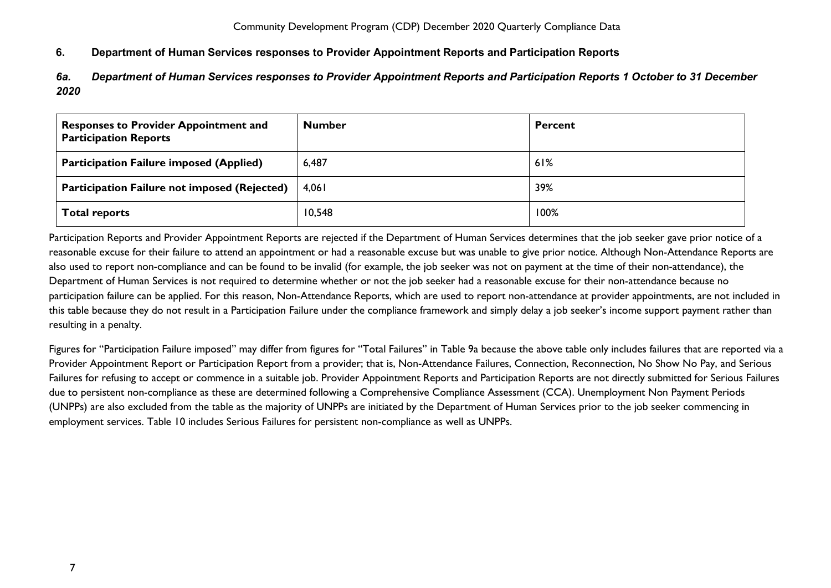### <span id="page-7-0"></span>**6. Department of Human Services responses to Provider Appointment Reports and Participation Reports**

<span id="page-7-1"></span>*6a. Department of Human Services responses to Provider Appointment Reports and Participation Reports 1 October to 31 December 2020*

| <b>Responses to Provider Appointment and</b><br><b>Participation Reports</b> | <b>Number</b> | <b>Percent</b> |
|------------------------------------------------------------------------------|---------------|----------------|
| <b>Participation Failure imposed (Applied)</b>                               | 6,487         | 61%            |
| Participation Failure not imposed (Rejected)                                 | 4,061         | 39%            |
| <b>Total reports</b>                                                         | 10,548        | 100%           |

Participation Reports and Provider Appointment Reports are rejected if the Department of Human Services determines that the job seeker gave prior notice of a reasonable excuse for their failure to attend an appointment or had a reasonable excuse but was unable to give prior notice. Although Non-Attendance Reports are also used to report non-compliance and can be found to be invalid (for example, the job seeker was not on payment at the time of their non-attendance), the Department of Human Services is not required to determine whether or not the job seeker had a reasonable excuse for their non-attendance because no participation failure can be applied. For this reason, Non-Attendance Reports, which are used to report non-attendance at provider appointments, are not included in this table because they do not result in a Participation Failure under the compliance framework and simply delay a job seeker's income support payment rather than resulting in a penalty.

Figures for "Participation Failure imposed" may differ from figures for "Total Failures" in Table 9a because the above table only includes failures that are reported via a Provider Appointment Report or Participation Report from a provider; that is, Non-Attendance Failures, Connection, Reconnection, No Show No Pay, and Serious Failures for refusing to accept or commence in a suitable job. Provider Appointment Reports and Participation Reports are not directly submitted for Serious Failures due to persistent non-compliance as these are determined following a Comprehensive Compliance Assessment (CCA). Unemployment Non Payment Periods (UNPPs) are also excluded from the table as the majority of UNPPs are initiated by the Department of Human Services prior to the job seeker commencing in employment services. Table 10 includes Serious Failures for persistent non-compliance as well as UNPPs.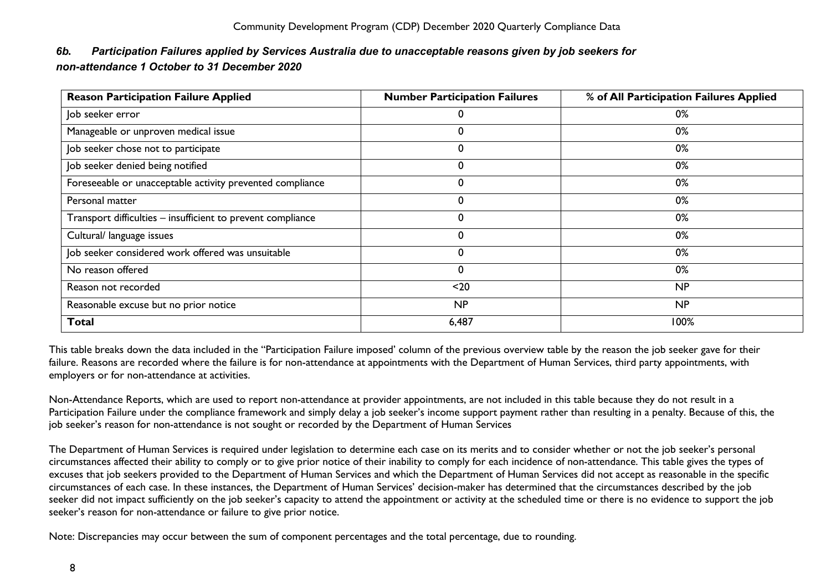### <span id="page-8-0"></span>*6b. Participation Failures applied by Services Australia due to unacceptable reasons given by job seekers for non-attendance 1 October to 31 December 2020*

| <b>Reason Participation Failure Applied</b>                 | <b>Number Participation Failures</b> | % of All Participation Failures Applied |
|-------------------------------------------------------------|--------------------------------------|-----------------------------------------|
| Job seeker error                                            |                                      | 0%                                      |
| Manageable or unproven medical issue                        |                                      | 0%                                      |
| Job seeker chose not to participate                         | 0                                    | 0%                                      |
| Job seeker denied being notified                            |                                      | 0%                                      |
| Foreseeable or unacceptable activity prevented compliance   |                                      | 0%                                      |
| Personal matter                                             | 0                                    | $0\%$                                   |
| Transport difficulties - insufficient to prevent compliance |                                      | $0\%$                                   |
| Cultural/ language issues                                   |                                      | 0%                                      |
| Job seeker considered work offered was unsuitable           | 0                                    | 0%                                      |
| No reason offered                                           |                                      | 0%                                      |
| Reason not recorded                                         | $20$                                 | NP                                      |
| Reasonable excuse but no prior notice                       | NP                                   | NP                                      |
| <b>Total</b>                                                | 6,487                                | 100%                                    |

This table breaks down the data included in the "Participation Failure imposed' column of the previous overview table by the reason the job seeker gave for their failure. Reasons are recorded where the failure is for non-attendance at appointments with the Department of Human Services, third party appointments, with employers or for non-attendance at activities.

Non-Attendance Reports, which are used to report non-attendance at provider appointments, are not included in this table because they do not result in a Participation Failure under the compliance framework and simply delay a job seeker's income support payment rather than resulting in a penalty. Because of this, the job seeker's reason for non-attendance is not sought or recorded by the Department of Human Services

The Department of Human Services is required under legislation to determine each case on its merits and to consider whether or not the job seeker's personal circumstances affected their ability to comply or to give prior notice of their inability to comply for each incidence of non-attendance. This table gives the types of excuses that job seekers provided to the Department of Human Services and which the Department of Human Services did not accept as reasonable in the specific circumstances of each case. In these instances, the Department of Human Services' decision-maker has determined that the circumstances described by the job seeker did not impact sufficiently on the job seeker's capacity to attend the appointment or activity at the scheduled time or there is no evidence to support the job seeker's reason for non-attendance or failure to give prior notice.

Note: Discrepancies may occur between the sum of component percentages and the total percentage, due to rounding.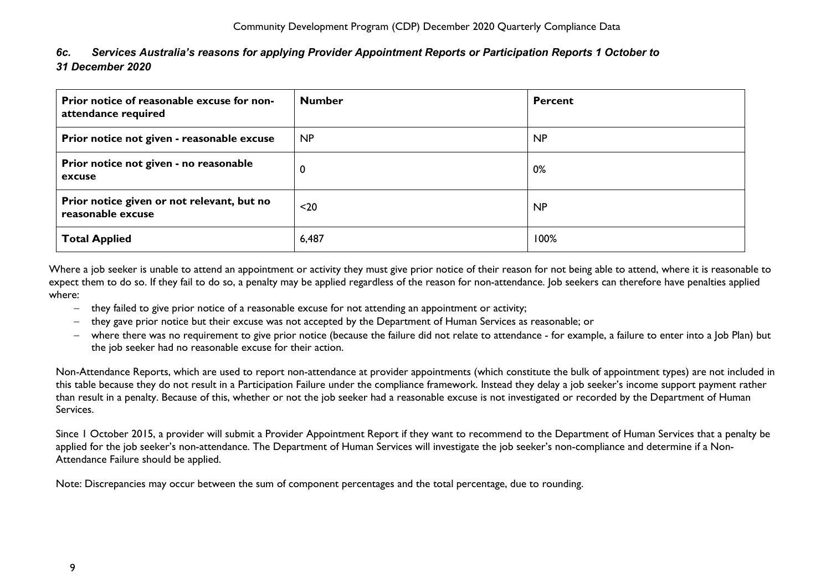<span id="page-9-0"></span>

| 6c. Services Australia's reasons for applying Provider Appointment Reports or Participation Reports 1 October to |
|------------------------------------------------------------------------------------------------------------------|
| 31 December 2020                                                                                                 |

| Prior notice of reasonable excuse for non-<br>attendance required | <b>Number</b> | <b>Percent</b> |
|-------------------------------------------------------------------|---------------|----------------|
| Prior notice not given - reasonable excuse                        | <b>NP</b>     | <b>NP</b>      |
| Prior notice not given - no reasonable<br>excuse                  | 0             | 0%             |
| Prior notice given or not relevant, but no<br>reasonable excuse   | $20$          | <b>NP</b>      |
| <b>Total Applied</b>                                              | 6,487         | 100%           |

Where a job seeker is unable to attend an appointment or activity they must give prior notice of their reason for not being able to attend, where it is reasonable to expect them to do so. If they fail to do so, a penalty may be applied regardless of the reason for non-attendance. Job seekers can therefore have penalties applied where:

- − they failed to give prior notice of a reasonable excuse for not attending an appointment or activity;
- − they gave prior notice but their excuse was not accepted by the Department of Human Services as reasonable; or
- − where there was no requirement to give prior notice (because the failure did not relate to attendance for example, a failure to enter into a Job Plan) but the job seeker had no reasonable excuse for their action.

Non-Attendance Reports, which are used to report non-attendance at provider appointments (which constitute the bulk of appointment types) are not included in this table because they do not result in a Participation Failure under the compliance framework. Instead they delay a job seeker's income support payment rather than result in a penalty. Because of this, whether or not the job seeker had a reasonable excuse is not investigated or recorded by the Department of Human Services.

Since 1 October 2015, a provider will submit a Provider Appointment Report if they want to recommend to the Department of Human Services that a penalty be applied for the job seeker's non-attendance. The Department of Human Services will investigate the job seeker's non-compliance and determine if a Non-Attendance Failure should be applied.

Note: Discrepancies may occur between the sum of component percentages and the total percentage, due to rounding.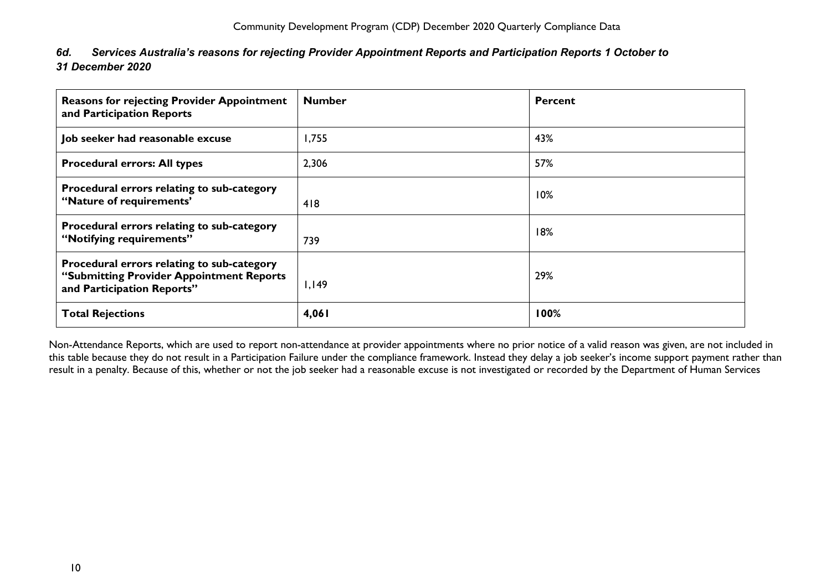<span id="page-10-0"></span>

| 6d. | Services Australia's reasons for rejecting Provider Appointment Reports and Participation Reports 1 October to |
|-----|----------------------------------------------------------------------------------------------------------------|
|     | 31 December 2020                                                                                               |

| <b>Reasons for rejecting Provider Appointment</b><br>and Participation Reports                                       | <b>Number</b> | <b>Percent</b> |
|----------------------------------------------------------------------------------------------------------------------|---------------|----------------|
| Job seeker had reasonable excuse                                                                                     | 1,755         | 43%            |
| <b>Procedural errors: All types</b>                                                                                  | 2,306         | 57%            |
| Procedural errors relating to sub-category<br>"Nature of requirements"                                               | 418           | 10%            |
| Procedural errors relating to sub-category<br>"Notifying requirements"                                               | 739           | 18%            |
| Procedural errors relating to sub-category<br>"Submitting Provider Appointment Reports<br>and Participation Reports" | 1,149         | 29%            |
| <b>Total Rejections</b>                                                                                              | 4,061         | 100%           |

Non-Attendance Reports, which are used to report non-attendance at provider appointments where no prior notice of a valid reason was given, are not included in this table because they do not result in a Participation Failure under the compliance framework. Instead they delay a job seeker's income support payment rather than result in a penalty. Because of this, whether or not the job seeker had a reasonable excuse is not investigated or recorded by the Department of Human Services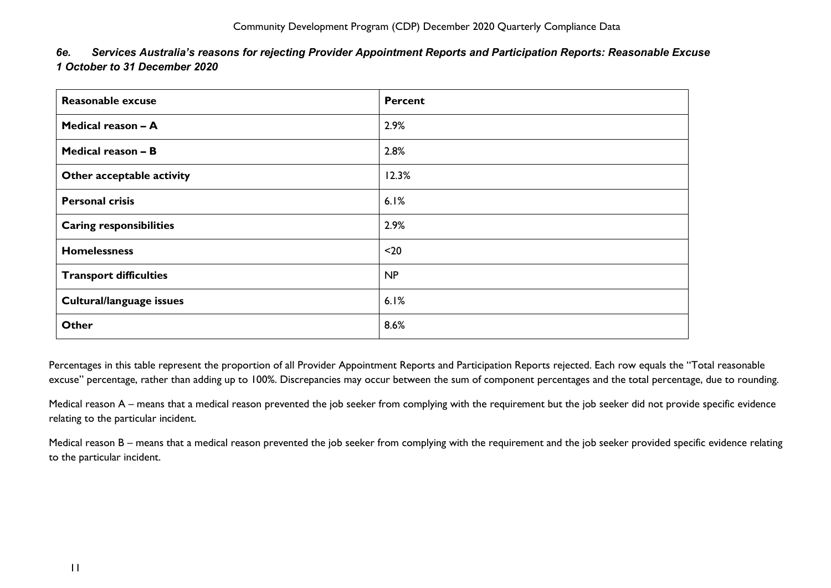<span id="page-11-0"></span>

| 6e. | Services Australia's reasons for rejecting Provider Appointment Reports and Participation Reports: Reasonable Excuse |
|-----|----------------------------------------------------------------------------------------------------------------------|
|     | 1 October to 31 December 2020                                                                                        |

| Reasonable excuse              | Percent   |
|--------------------------------|-----------|
| Medical reason - A             | 2.9%      |
| Medical reason - B             | 2.8%      |
| Other acceptable activity      | 12.3%     |
| <b>Personal crisis</b>         | 6.1%      |
| <b>Caring responsibilities</b> | 2.9%      |
| <b>Homelessness</b>            | $20$      |
| <b>Transport difficulties</b>  | <b>NP</b> |
| Cultural/language issues       | 6.1%      |
| Other                          | 8.6%      |

Percentages in this table represent the proportion of all Provider Appointment Reports and Participation Reports rejected. Each row equals the "Total reasonable excuse" percentage, rather than adding up to 100%. Discrepancies may occur between the sum of component percentages and the total percentage, due to rounding.

Medical reason A – means that a medical reason prevented the job seeker from complying with the requirement but the job seeker did not provide specific evidence relating to the particular incident.

Medical reason B – means that a medical reason prevented the job seeker from complying with the requirement and the job seeker provided specific evidence relating to the particular incident.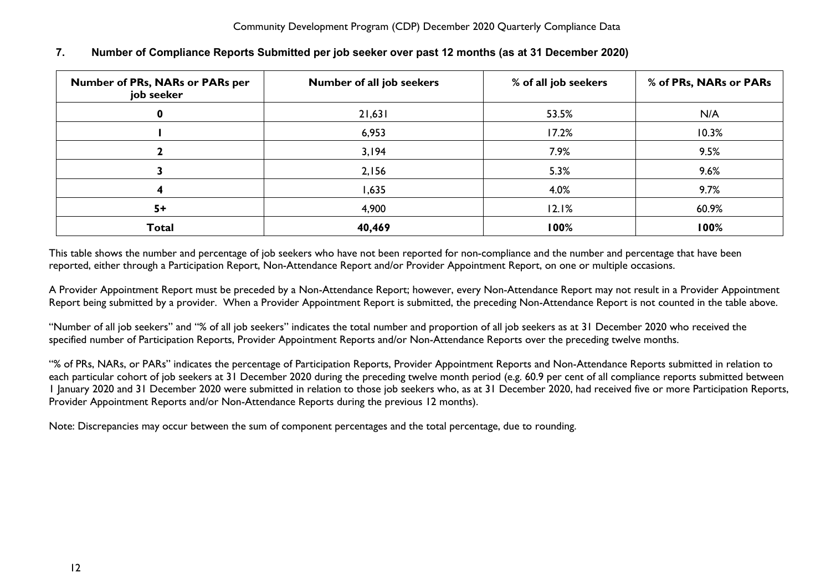| Number of PRs, NARs or PARs per<br>job seeker | Number of all job seekers | % of all job seekers | % of PRs, NARs or PARs |
|-----------------------------------------------|---------------------------|----------------------|------------------------|
|                                               | 21,631                    | 53.5%                | N/A                    |
|                                               | 6,953                     | 17.2%                | 10.3%                  |
|                                               | 3,194                     | 7.9%                 | 9.5%                   |
|                                               | 2,156                     | 5.3%                 | 9.6%                   |
|                                               | 1,635                     | 4.0%                 | 9.7%                   |
| $5+$                                          | 4,900                     | 12.1%                | 60.9%                  |
| <b>Total</b>                                  | 40,469                    | 100%                 | 100%                   |

### <span id="page-12-0"></span>**7. Number of Compliance Reports Submitted per job seeker over past 12 months (as at 31 December 2020)**

This table shows the number and percentage of job seekers who have not been reported for non-compliance and the number and percentage that have been reported, either through a Participation Report, Non-Attendance Report and/or Provider Appointment Report, on one or multiple occasions.

A Provider Appointment Report must be preceded by a Non-Attendance Report; however, every Non-Attendance Report may not result in a Provider Appointment Report being submitted by a provider. When a Provider Appointment Report is submitted, the preceding Non-Attendance Report is not counted in the table above.

"Number of all job seekers" and "% of all job seekers" indicates the total number and proportion of all job seekers as at 31 December 2020 who received the specified number of Participation Reports, Provider Appointment Reports and/or Non-Attendance Reports over the preceding twelve months.

"% of PRs, NARs, or PARs" indicates the percentage of Participation Reports, Provider Appointment Reports and Non-Attendance Reports submitted in relation to each particular cohort of job seekers at 31 December 2020 during the preceding twelve month period (e.g. 60.9 per cent of all compliance reports submitted between 1 January 2020 and 31 December 2020 were submitted in relation to those job seekers who, as at 31 December 2020, had received five or more Participation Reports, Provider Appointment Reports and/or Non-Attendance Reports during the previous 12 months).

Note: Discrepancies may occur between the sum of component percentages and the total percentage, due to rounding.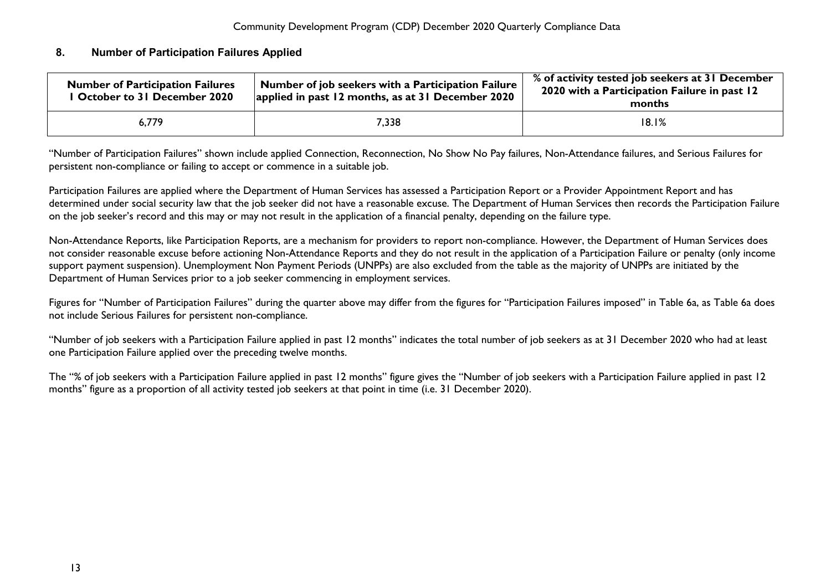### <span id="page-13-0"></span>**8. Number of Participation Failures Applied**

| <b>Number of Participation Failures</b><br><b>I October to 31 December 2020</b> | . Number of job seekers with a Participation Failure $^\dagger$<br>applied in past 12 months, as at 31 December 2020 | % of activity tested job seekers at 31 December<br>2020 with a Participation Failure in past 12<br>months |  |  |
|---------------------------------------------------------------------------------|----------------------------------------------------------------------------------------------------------------------|-----------------------------------------------------------------------------------------------------------|--|--|
| 6.779                                                                           | 7,338                                                                                                                | 18.1%                                                                                                     |  |  |

"Number of Participation Failures" shown include applied Connection, Reconnection, No Show No Pay failures, Non-Attendance failures, and Serious Failures for persistent non-compliance or failing to accept or commence in a suitable job.

Participation Failures are applied where the Department of Human Services has assessed a Participation Report or a Provider Appointment Report and has determined under social security law that the job seeker did not have a reasonable excuse. The Department of Human Services then records the Participation Failure on the job seeker's record and this may or may not result in the application of a financial penalty, depending on the failure type.

Non-Attendance Reports, like Participation Reports, are a mechanism for providers to report non-compliance. However, the Department of Human Services does not consider reasonable excuse before actioning Non-Attendance Reports and they do not result in the application of a Participation Failure or penalty (only income support payment suspension). Unemployment Non Payment Periods (UNPPs) are also excluded from the table as the majority of UNPPs are initiated by the Department of Human Services prior to a job seeker commencing in employment services.

Figures for "Number of Participation Failures" during the quarter above may differ from the figures for "Participation Failures imposed" in Table 6a, as Table 6a does not include Serious Failures for persistent non-compliance.

"Number of job seekers with a Participation Failure applied in past 12 months" indicates the total number of job seekers as at 31 December 2020 who had at least one Participation Failure applied over the preceding twelve months.

The "% of job seekers with a Participation Failure applied in past 12 months" figure gives the "Number of job seekers with a Participation Failure applied in past 12 months" figure as a proportion of all activity tested job seekers at that point in time (i.e. 31 December 2020).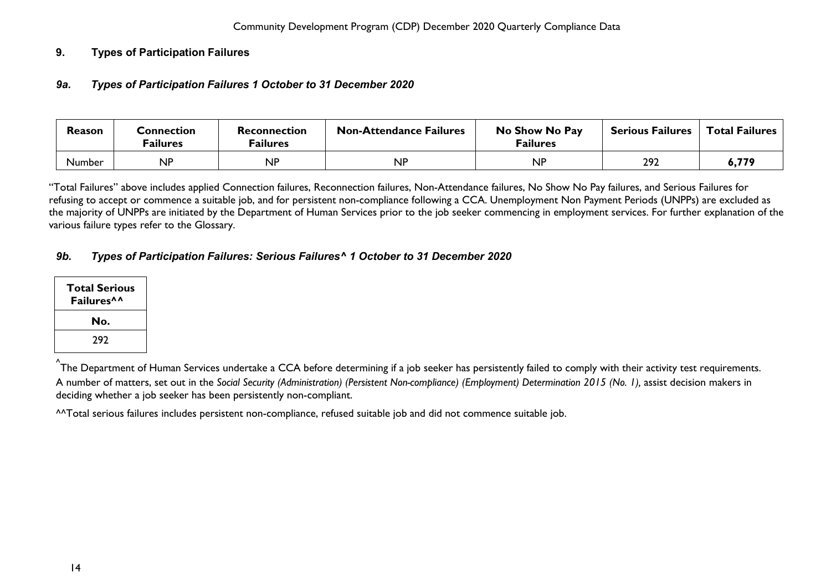### <span id="page-14-1"></span><span id="page-14-0"></span>**9. Types of Participation Failures**

### *9a***.** *Types of Participation Failures 1 October to 31 December 2020*

| Reason        | Connection<br><sup>=</sup> ailures | Reconnection<br><sup>=</sup> ailures | <b>Non-Attendance Failures</b> | No Show No Pay<br><b>Failures</b> | <b>Serious Failures</b> | <b>Total Failures</b> |
|---------------|------------------------------------|--------------------------------------|--------------------------------|-----------------------------------|-------------------------|-----------------------|
| <b>Number</b> | NP                                 | <b>NP</b>                            | <b>NP</b>                      | <b>NP</b>                         | 292                     | 6,779                 |

"Total Failures" above includes applied Connection failures, Reconnection failures, Non-Attendance failures, No Show No Pay failures, and Serious Failures for refusing to accept or commence a suitable job, and for persistent non-compliance following a CCA. Unemployment Non Payment Periods (UNPPs) are excluded as the majority of UNPPs are initiated by the Department of Human Services prior to the job seeker commencing in employment services. For further explanation of the various failure types refer to the Glossary.

### <span id="page-14-2"></span>*9b. Types of Participation Failures: Serious Failures^ 1 October to 31 December 2020*

| <b>Total Serious</b><br><b>Failures</b> <sup>^^</sup> |
|-------------------------------------------------------|
| No.                                                   |
| 292                                                   |

<sup>^</sup>The Department of Human Services undertake a CCA before determining if a job seeker has persistently failed to comply with their activity test requirements. A number of matters, set out in the *Social Security (Administration) (Persistent Non-compliance) (Employment) Determination 2015 (No. 1),* assist decision makers in deciding whether a job seeker has been persistently non-compliant.

^^Total serious failures includes persistent non-compliance, refused suitable job and did not commence suitable job.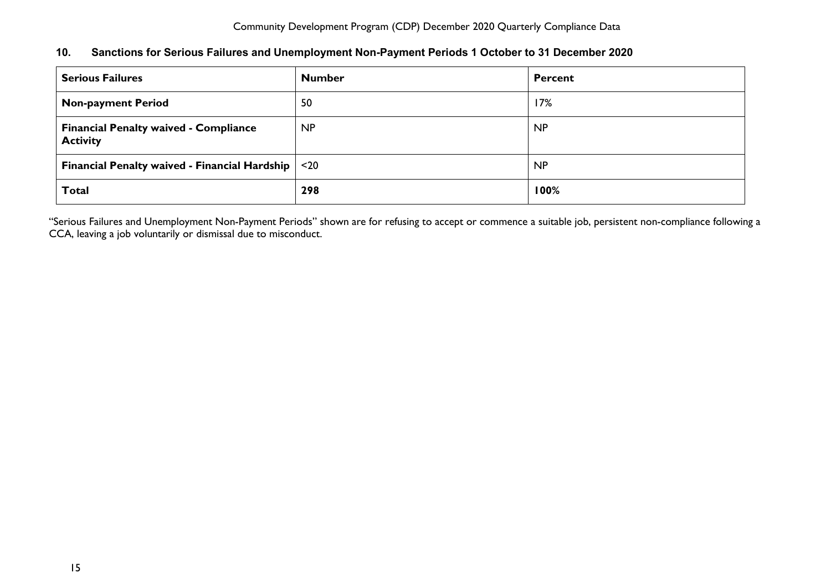### <span id="page-15-0"></span>**10. Sanctions for Serious Failures and Unemployment Non-Payment Periods 1 October to 31 December 2020**

| <b>Serious Failures</b>                                         | <b>Number</b> | <b>Percent</b> |
|-----------------------------------------------------------------|---------------|----------------|
| <b>Non-payment Period</b>                                       | 50            | 17%            |
| <b>Financial Penalty waived - Compliance</b><br><b>Activity</b> | <b>NP</b>     | <b>NP</b>      |
| <b>Financial Penalty waived - Financial Hardship</b>            | $20$          | <b>NP</b>      |
| <b>Total</b>                                                    | 298           | 100%           |

"Serious Failures and Unemployment Non-Payment Periods" shown are for refusing to accept or commence a suitable job, persistent non-compliance following a CCA, leaving a job voluntarily or dismissal due to misconduct.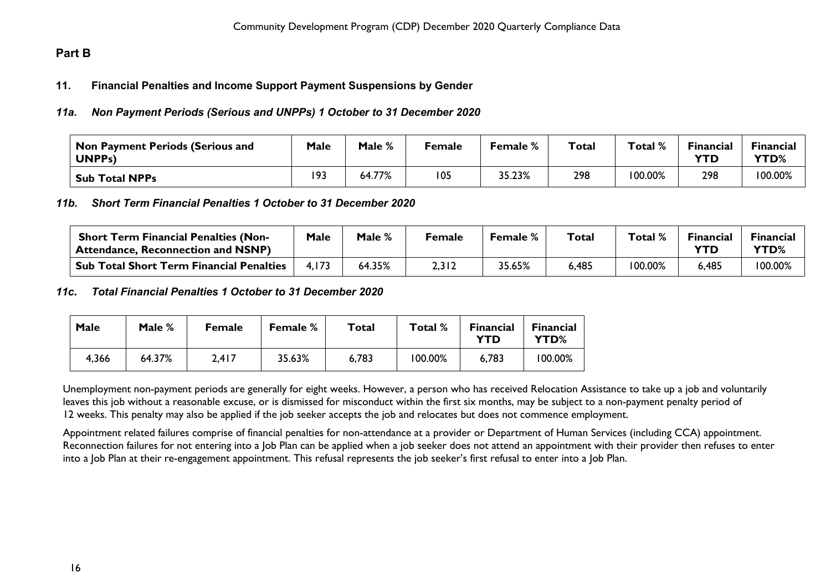### <span id="page-16-1"></span><span id="page-16-0"></span>**Part B**

### **11. Financial Penalties and Income Support Payment Suspensions by Gender**

#### <span id="page-16-2"></span>*11a. Non Payment Periods (Serious and UNPPs) 1 October to 31 December 2020*

| Non Payment Periods (Serious and<br>UNPP <sub>s</sub> ) | Male | Male % | Female | Female % | Total | Total % | <b>Financial</b><br><b>YTD</b> | <b>Financial</b><br>YTD% |
|---------------------------------------------------------|------|--------|--------|----------|-------|---------|--------------------------------|--------------------------|
| <b>Sub Total NPPs</b>                                   | 193  | 64.77% | 05 ا   | 35.23%   | 298   | 100.00% | 298                            | 100.00%                  |

<span id="page-16-3"></span>*11b. Short Term Financial Penalties 1 October to 31 December 2020*

| <b>Short Term Financial Penalties (Non-</b><br><sup>1</sup> Attendance, Reconnection and NSNP) | Male | Male % | Female | Female % | $\tau$ otal | Total % | <b>Financial</b> | <b>Financial</b><br>YTD% |
|------------------------------------------------------------------------------------------------|------|--------|--------|----------|-------------|---------|------------------|--------------------------|
| . Sub Total Short Term Financial Penalties                                                     |      | 64.35% | 2,312  | 35.65%   | 6,485       | 100.00% | 6,485            | 100.00%                  |

#### <span id="page-16-4"></span>*11c***.** *Total Financial Penalties 1 October to 31 December 2020*

| Male  | Male % | <b>Female</b> | <b>Female</b> % | Total | Total % | <b>Financial</b><br>YTD | <b>Financial</b><br>YTD% |
|-------|--------|---------------|-----------------|-------|---------|-------------------------|--------------------------|
| 4,366 | 64.37% | 2,417         | 35.63%          | 6,783 | 100.00% | 6,783                   | 100.00%                  |

Unemployment non-payment periods are generally for eight weeks. However, a person who has received Relocation Assistance to take up a job and voluntarily leaves this job without a reasonable excuse, or is dismissed for misconduct within the first six months, may be subject to a non-payment penalty period of 12 weeks. This penalty may also be applied if the job seeker accepts the job and relocates but does not commence employment.

Appointment related failures comprise of financial penalties for non-attendance at a provider or Department of Human Services (including CCA) appointment. Reconnection failures for not entering into a Job Plan can be applied when a job seeker does not attend an appointment with their provider then refuses to enter into a Job Plan at their re-engagement appointment. This refusal represents the job seeker's first refusal to enter into a Job Plan.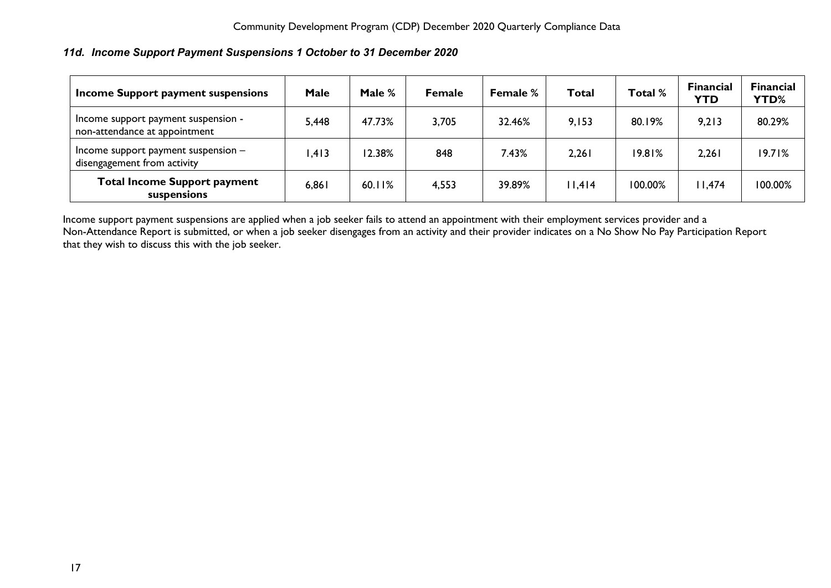### <span id="page-17-0"></span>*11d. Income Support Payment Suspensions 1 October to 31 December 2020*

| Income Support payment suspensions                                   | Male  | Male % | <b>Female</b> | <b>Female %</b> | Total  | Total % | <b>Financial</b><br><b>YTD</b> | <b>Financial</b><br>YTD% |
|----------------------------------------------------------------------|-------|--------|---------------|-----------------|--------|---------|--------------------------------|--------------------------|
| Income support payment suspension -<br>non-attendance at appointment | 5,448 | 47.73% | 3,705         | 32.46%          | 9,153  | 80.19%  | 9,213                          | 80.29%                   |
| Income support payment suspension -<br>disengagement from activity   | 1,413 | 12.38% | 848           | 7.43%           | 2,261  | 19.81%  | 2,261                          | 19.71%                   |
| <b>Total Income Support payment</b><br>suspensions                   | 6,861 | 60.11% | 4,553         | 39.89%          | 11,414 | 100.00% | 11,474                         | 100.00%                  |

Income support payment suspensions are applied when a job seeker fails to attend an appointment with their employment services provider and a Non-Attendance Report is submitted, or when a job seeker disengages from an activity and their provider indicates on a No Show No Pay Participation Report that they wish to discuss this with the job seeker.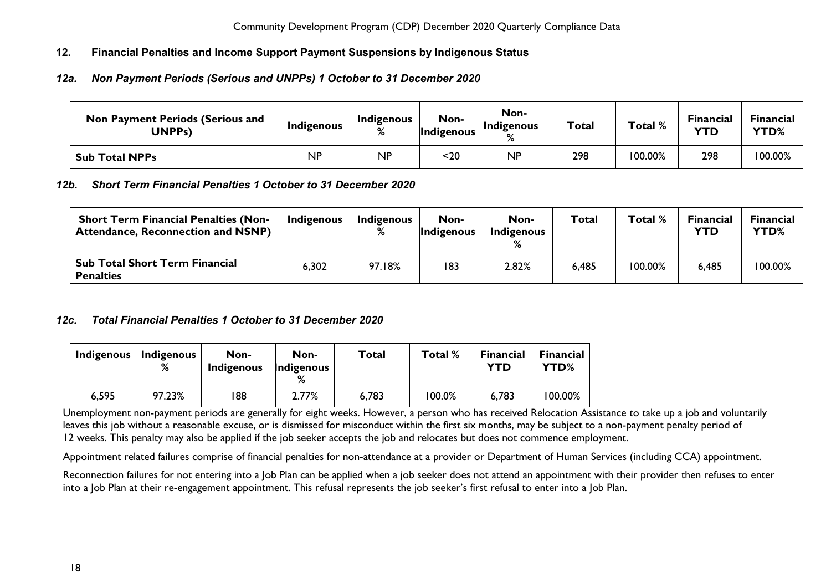### <span id="page-18-0"></span>**12. Financial Penalties and Income Support Payment Suspensions by Indigenous Status**

### <span id="page-18-1"></span>*12a. Non Payment Periods (Serious and UNPPs) 1 October to 31 December 2020*

| <b>Non Payment Periods (Serious and</b><br>UNPPs) | Indigenous | Indigenous<br>% | Non-<br><b>Indigenous</b> | Non-<br>Indigenous<br>% | Total | Total % | <b>Financial</b><br><b>YTD</b> | <b>Financial</b><br><b>YTD%</b> |
|---------------------------------------------------|------------|-----------------|---------------------------|-------------------------|-------|---------|--------------------------------|---------------------------------|
| <b>Sub Total NPPs</b>                             | ΝP         | <b>NP</b>       | <20                       | <b>NP</b>               | 298   | 100.00% | 298                            | 100.00%                         |

### <span id="page-18-2"></span>*12b. Short Term Financial Penalties 1 October to 31 December 2020*

| <b>Short Term Financial Penalties (Non-</b><br><b>Attendance, Reconnection and NSNP)</b> | Indigenous | Indigenous | Non-<br>Indigenous | Non-<br>Indigenous | Total | Total %    | <b>Financial</b><br>YTD | Financial<br>YTD% |
|------------------------------------------------------------------------------------------|------------|------------|--------------------|--------------------|-------|------------|-------------------------|-------------------|
| <b>Sub Total Short Term Financial</b><br><b>Penalties</b>                                | 6,302      | 97.18%     | 183                | 2.82%              | 6,485 | $100.00\%$ | 6,485                   | 100.00%           |

### <span id="page-18-3"></span>*12c. Total Financial Penalties 1 October to 31 December 2020*

| Indigenous | <b>Indigenous</b><br>% | Non-<br><b>Indigenous</b> | Non-<br>Indigenous | Total | Total % | <b>Financial</b><br>YTD | <b>Financial</b><br>YTD% |
|------------|------------------------|---------------------------|--------------------|-------|---------|-------------------------|--------------------------|
| 6,595      | 97.23%                 | 188                       | 2.77%              | 6,783 | 100.0%  | 6,783                   | 100.00%                  |

Unemployment non-payment periods are generally for eight weeks. However, a person who has received Relocation Assistance to take up a job and voluntarily leaves this job without a reasonable excuse, or is dismissed for misconduct within the first six months, may be subject to a non-payment penalty period of 12 weeks. This penalty may also be applied if the job seeker accepts the job and relocates but does not commence employment.

Appointment related failures comprise of financial penalties for non-attendance at a provider or Department of Human Services (including CCA) appointment.

Reconnection failures for not entering into a lob Plan can be applied when a job seeker does not attend an appointment with their provider then refuses to enter into a Job Plan at their re-engagement appointment. This refusal represents the job seeker's first refusal to enter into a Job Plan.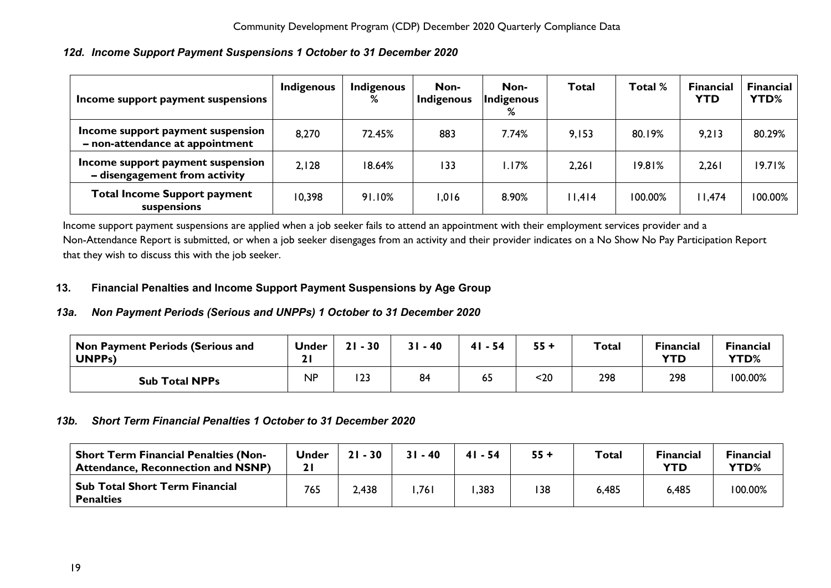<span id="page-19-0"></span>

|  | 12d. Income Support Payment Suspensions 1 October to 31 December 2020 |  |  |  |
|--|-----------------------------------------------------------------------|--|--|--|
|--|-----------------------------------------------------------------------|--|--|--|

| Income support payment suspensions                                   | Indigenous | <b>Indigenous</b><br>% | Non-<br>Indigenous | Non-<br>Indigenous<br>% | <b>Total</b> | Total % | <b>Financial</b><br><b>YTD</b> | <b>Financial</b><br>YTD% |
|----------------------------------------------------------------------|------------|------------------------|--------------------|-------------------------|--------------|---------|--------------------------------|--------------------------|
| Income support payment suspension<br>- non-attendance at appointment | 8,270      | 72.45%                 | 883                | 7.74%                   | 9,153        | 80.19%  | 9,213                          | 80.29%                   |
| Income support payment suspension<br>- disengagement from activity   | 2,128      | 18.64%                 | 133                | .17%                    | 2,261        | 19.81%  | 2,261                          | 19.71%                   |
| <b>Total Income Support payment</b><br>suspensions                   | 10,398     | 91.10%                 | 1,016              | 8.90%                   | 11,414       | 100.00% | 11,474                         | 100.00%                  |

Income support payment suspensions are applied when a job seeker fails to attend an appointment with their employment services provider and a Non-Attendance Report is submitted, or when a job seeker disengages from an activity and their provider indicates on a No Show No Pay Participation Report that they wish to discuss this with the job seeker.

### <span id="page-19-1"></span>**13. Financial Penalties and Income Support Payment Suspensions by Age Group**

### <span id="page-19-2"></span>*13a. Non Payment Periods (Serious and UNPPs) 1 October to 31 December 2020*

| <b>Non Payment Periods (Serious and</b><br><b>UNPPs)</b> | <b>Under</b> | $-30$<br>21  | $31 - 40$ | 41<br>- 54 | $55 +$ | <b>Total</b> | <b>Financial</b><br>YTD | <b>Financial</b><br>YTD% |
|----------------------------------------------------------|--------------|--------------|-----------|------------|--------|--------------|-------------------------|--------------------------|
| <b>Sub Total NPPs</b>                                    | <b>NP</b>    | ר רו<br>د ∠ا | 84        | 65         | <20    | 298          | 298                     | 100.00%                  |

### <span id="page-19-3"></span>*13b. Short Term Financial Penalties 1 October to 31 December 2020*

<span id="page-19-4"></span>

| <b>Short Term Financial Penalties (Non-</b><br><b>Attendance, Reconnection and NSNP)</b> | Under | $21 - 30$ | $31 - 40$ | $41 - 54$ | $55+$ | <b>Total</b> | Financial<br>YTD | <b>Financial</b><br>YTD% |
|------------------------------------------------------------------------------------------|-------|-----------|-----------|-----------|-------|--------------|------------------|--------------------------|
| <b>Sub Total Short Term Financial</b><br><b>Penalties</b>                                | 765   | 2,438     | ,761      | ,383      | 138   | 6,485        | 6,485            | 100.00%                  |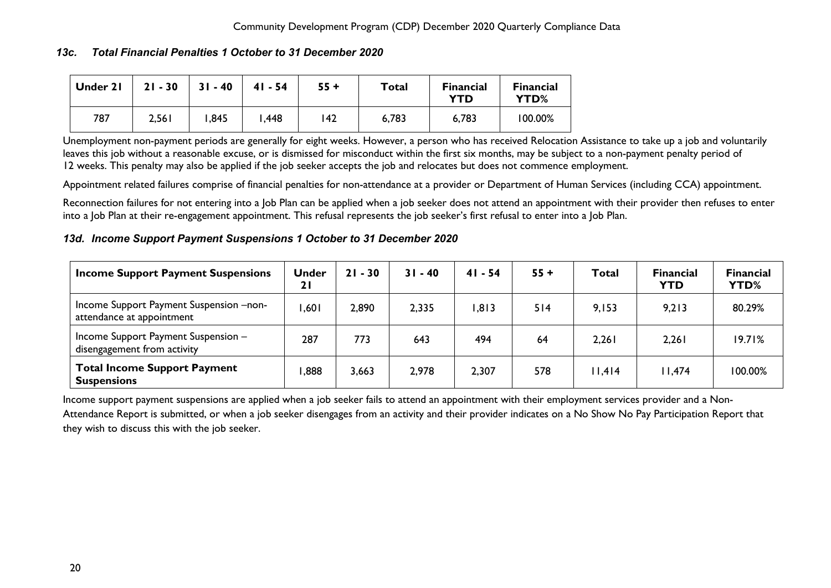### *13c. Total Financial Penalties 1 October to 31 December 2020*

| Under 21 | $21 - 30$ | $31 - 40$ | $41 - 54$ | $55 +$ | Total | Financial<br>YTD | <b>Financial</b><br>YTD% |
|----------|-----------|-----------|-----------|--------|-------|------------------|--------------------------|
| 787      | 2,561     | ,845      | 448, ا    | 142    | 6,783 | 6,783            | 100.00%                  |

Unemployment non-payment periods are generally for eight weeks. However, a person who has received Relocation Assistance to take up a job and voluntarily leaves this job without a reasonable excuse, or is dismissed for misconduct within the first six months, may be subject to a non-payment penalty period of 12 weeks. This penalty may also be applied if the job seeker accepts the job and relocates but does not commence employment.

Appointment related failures comprise of financial penalties for non-attendance at a provider or Department of Human Services (including CCA) appointment.

Reconnection failures for not entering into a Job Plan can be applied when a job seeker does not attend an appointment with their provider then refuses to enter into a Job Plan at their re-engagement appointment. This refusal represents the job seeker's first refusal to enter into a Job Plan.

### <span id="page-20-0"></span>*13d. Income Support Payment Suspensions 1 October to 31 December 2020*

| <b>Income Support Payment Suspensions</b>                            | <b>Under</b><br>21 | $21 - 30$ | $31 - 40$ | $41 - 54$ | $55 +$ | Total  | <b>Financial</b><br><b>YTD</b> | <b>Financial</b><br>YTD% |
|----------------------------------------------------------------------|--------------------|-----------|-----------|-----------|--------|--------|--------------------------------|--------------------------|
| Income Support Payment Suspension -non-<br>attendance at appointment | ,601               | 2,890     | 2,335     | .813      | 514    | 9,153  | 9,213                          | 80.29%                   |
| Income Support Payment Suspension -<br>disengagement from activity   | 287                | 773       | 643       | 494       | 64     | 2,261  | 2,261                          | 19.71%                   |
| <b>Total Income Support Payment</b><br><b>Suspensions</b>            | ,888               | 3,663     | 2,978     | 2,307     | 578    | 11,414 | I I,474                        | 100.00%                  |

Income support payment suspensions are applied when a job seeker fails to attend an appointment with their employment services provider and a Non-Attendance Report is submitted, or when a job seeker disengages from an activity and their provider indicates on a No Show No Pay Participation Report that they wish to discuss this with the job seeker.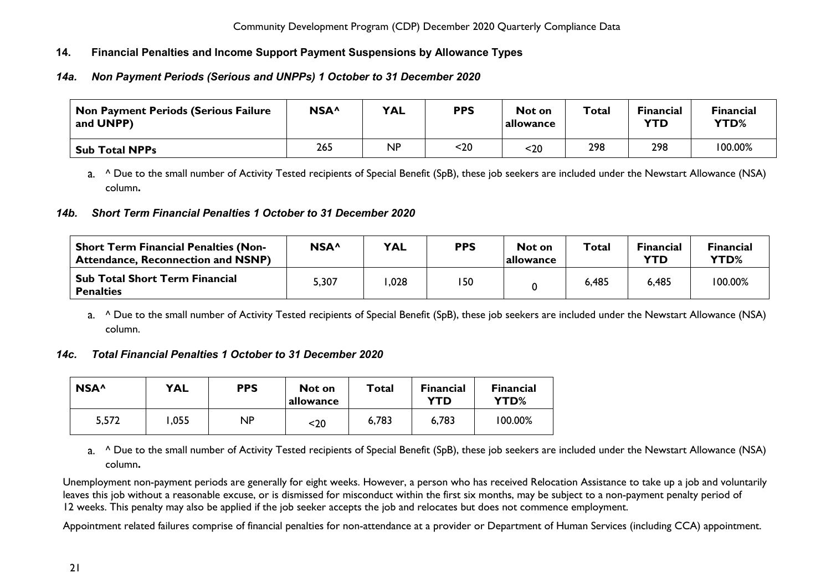### <span id="page-21-0"></span>**14. Financial Penalties and Income Support Payment Suspensions by Allowance Types**

### <span id="page-21-1"></span>*14a. Non Payment Periods (Serious and UNPPs) 1 October to 31 December 2020*

| <b>Non Payment Periods (Serious Failure</b><br>and UNPP) | NSA <sup>^</sup> | <b>YAL</b> | <b>PPS</b> | Not on<br>allowance | Total | <b>Financial</b><br><b>YTD</b> | <b>Financial</b><br>YTD% |
|----------------------------------------------------------|------------------|------------|------------|---------------------|-------|--------------------------------|--------------------------|
| <b>Sub Total NPPs</b>                                    | 265              | ΝP         | $20$       | <20                 | 298   | 298                            | 100.00%                  |

a. ^ Due to the small number of Activity Tested recipients of Special Benefit (SpB), these job seekers are included under the Newstart Allowance (NSA) column**.** 

### <span id="page-21-2"></span>*14b. Short Term Financial Penalties 1 October to 31 December 2020*

| <b>Short Term Financial Penalties (Non-</b><br><b>Attendance, Reconnection and NSNP)</b> | NSA <sup>^</sup> | <b>YAL</b> | <b>PPS</b> | Not on<br> allowance | Total | <b>Financial</b><br><b>YTD</b> | Financial<br><b>YTD%</b> |
|------------------------------------------------------------------------------------------|------------------|------------|------------|----------------------|-------|--------------------------------|--------------------------|
| <b>Sub Total Short Term Financial</b><br><b>Penalties</b>                                | 307,د            | ,028       | 150        |                      | 6,485 | 6,485                          | 100.00%                  |

a. <sup>^</sup> Due to the small number of Activity Tested recipients of Special Benefit (SpB), these job seekers are included under the Newstart Allowance (NSA) column.

### <span id="page-21-3"></span>*14c. Total Financial Penalties 1 October to 31 December 2020*

| NSA <sup>^</sup> | <b>YAL</b> | <b>PPS</b> | Not on<br>allowance | Total | <b>Financial</b><br>YTD | <b>Financial</b><br>YTD% |
|------------------|------------|------------|---------------------|-------|-------------------------|--------------------------|
| 5,572            | .055       | NΡ         | $20$                | 6,783 | 6,783                   | 100.00%                  |

a. <sup>^</sup> Due to the small number of Activity Tested recipients of Special Benefit (SpB), these job seekers are included under the Newstart Allowance (NSA) column**.** 

Unemployment non-payment periods are generally for eight weeks. However, a person who has received Relocation Assistance to take up a job and voluntarily leaves this job without a reasonable excuse, or is dismissed for misconduct within the first six months, may be subject to a non-payment penalty period of 12 weeks. This penalty may also be applied if the job seeker accepts the job and relocates but does not commence employment.

Appointment related failures comprise of financial penalties for non-attendance at a provider or Department of Human Services (including CCA) appointment.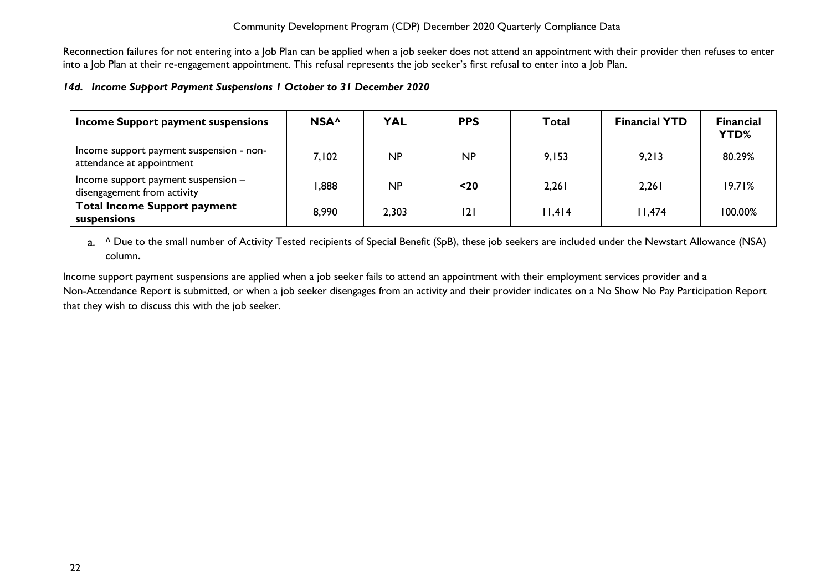Reconnection failures for not entering into a Job Plan can be applied when a job seeker does not attend an appointment with their provider then refuses to enter into a Job Plan at their re-engagement appointment. This refusal represents the job seeker's first refusal to enter into a Job Plan.

#### <span id="page-22-0"></span>*14d. Income Support Payment Suspensions 1 October to 31 December 2020*

| Income Support payment suspensions                                    | NSA <sup>^</sup> | <b>YAL</b> | <b>PPS</b> | <b>Total</b> | <b>Financial YTD</b> | <b>Financial</b><br>YTD% |
|-----------------------------------------------------------------------|------------------|------------|------------|--------------|----------------------|--------------------------|
| Income support payment suspension - non-<br>attendance at appointment | 7,102            | NP         | NP         | 9,153        | 9,213                | 80.29%                   |
| Income support payment suspension $-$<br>disengagement from activity  | 888,             | NP         | $20$       | 2,261        | 2,261                | 19.71%                   |
| <b>Total Income Support payment</b><br>suspensions                    | 8,990            | 2,303      | 121        | 11,414       | l I,474              | 100.00%                  |

a. <sup>^</sup> Due to the small number of Activity Tested recipients of Special Benefit (SpB), these job seekers are included under the Newstart Allowance (NSA) column**.** 

Income support payment suspensions are applied when a job seeker fails to attend an appointment with their employment services provider and a Non-Attendance Report is submitted, or when a job seeker disengages from an activity and their provider indicates on a No Show No Pay Participation Report that they wish to discuss this with the job seeker.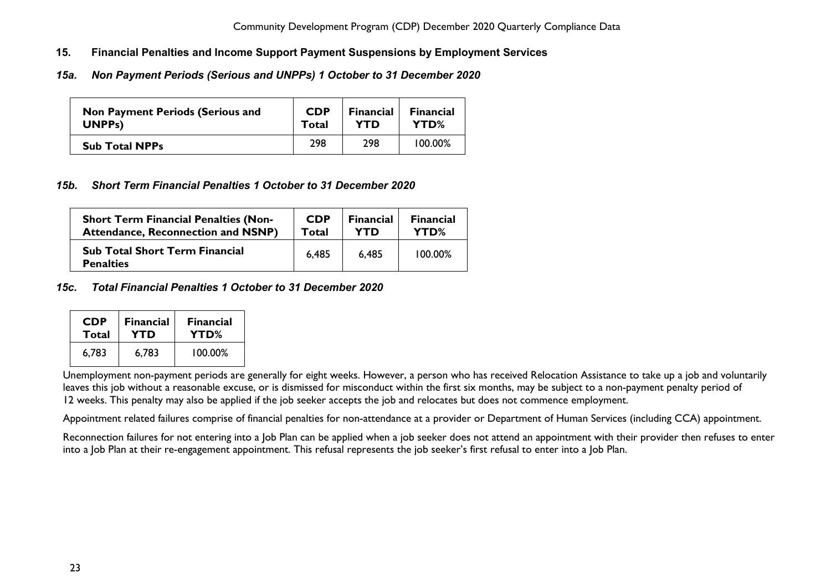- <span id="page-23-0"></span>**15. Financial Penalties and Income Support Payment Suspensions by Employment Services**
- <span id="page-23-1"></span>*15a. Non Payment Periods (Serious and UNPPs) 1 October to 31 December 2020*

| <b>Non Payment Periods (Serious and</b> | <b>CDP</b> | <b>Financial</b> | <b>Financial</b> |
|-----------------------------------------|------------|------------------|------------------|
| UNPP <sub>s</sub> )                     | Total      | YTD              | YTD%             |
| <b>Sub Total NPPs</b>                   | 298        | 298              | 100.00%          |

### <span id="page-23-2"></span>*15b. Short Term Financial Penalties 1 October to 31 December 2020*

| <b>Short Term Financial Penalties (Non-</b>               | <b>CDP</b> | <b>Financial</b> | <b>Financial</b> |
|-----------------------------------------------------------|------------|------------------|------------------|
| <b>Attendance, Reconnection and NSNP)</b>                 | Total      | YTD              | YTD%             |
| <b>Sub Total Short Term Financial</b><br><b>Penalties</b> | 6.485      | 6.485            | 100.00%          |

### <span id="page-23-3"></span>*15c. Total Financial Penalties 1 October to 31 December 2020*

| <b>CDP</b> | <b>Financial</b> | <b>Financial</b> |
|------------|------------------|------------------|
| Total      | YTD              | YTD%             |
| 6,783      | 6.783            | 100.00%          |

Unemployment non-payment periods are generally for eight weeks. However, a person who has received Relocation Assistance to take up a job and voluntarily leaves this job without a reasonable excuse, or is dismissed for misconduct within the first six months, may be subject to a non-payment penalty period of 12 weeks. This penalty may also be applied if the job seeker accepts the job and relocates but does not commence employment.

Appointment related failures comprise of financial penalties for non-attendance at a provider or Department of Human Services (including CCA) appointment.

Reconnection failures for not entering into a Job Plan can be applied when a job seeker does not attend an appointment with their provider then refuses to enter into a Job Plan at their re-engagement appointment. This refusal represents the job seeker's first refusal to enter into a Job Plan.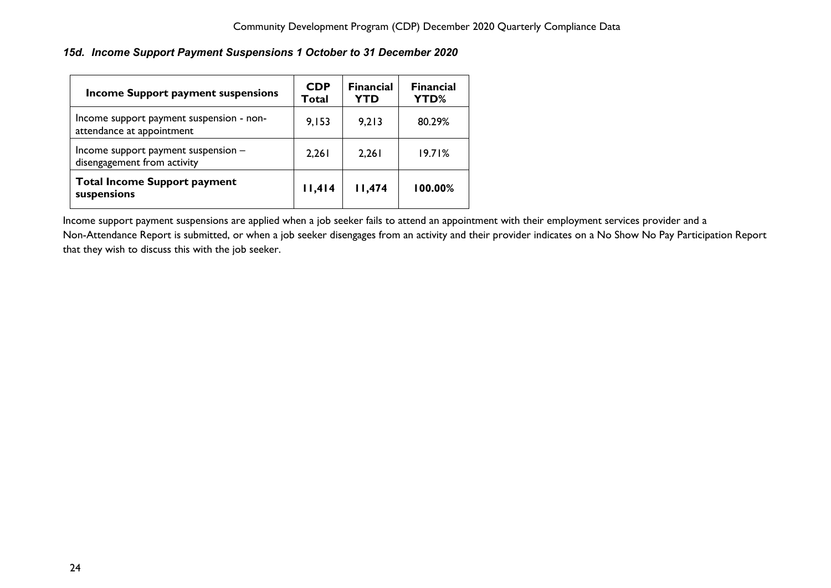### <span id="page-24-0"></span>*15d. Income Support Payment Suspensions 1 October to 31 December 2020*

| <b>Income Support payment suspensions</b>                             | <b>CDP</b><br>Total | <b>Financial</b><br><b>YTD</b> | <b>Financial</b><br>YTD% |
|-----------------------------------------------------------------------|---------------------|--------------------------------|--------------------------|
| Income support payment suspension - non-<br>attendance at appointment | 9,153               | 9,213                          | 80.29%                   |
| Income support payment suspension -<br>disengagement from activity    | 2,261               | 2,261                          | 19.71%                   |
| <b>Total Income Support payment</b><br>suspensions                    | 11,414              | 11,474                         | 100.00%                  |

Income support payment suspensions are applied when a job seeker fails to attend an appointment with their employment services provider and a Non-Attendance Report is submitted, or when a job seeker disengages from an activity and their provider indicates on a No Show No Pay Participation Report that they wish to discuss this with the job seeker.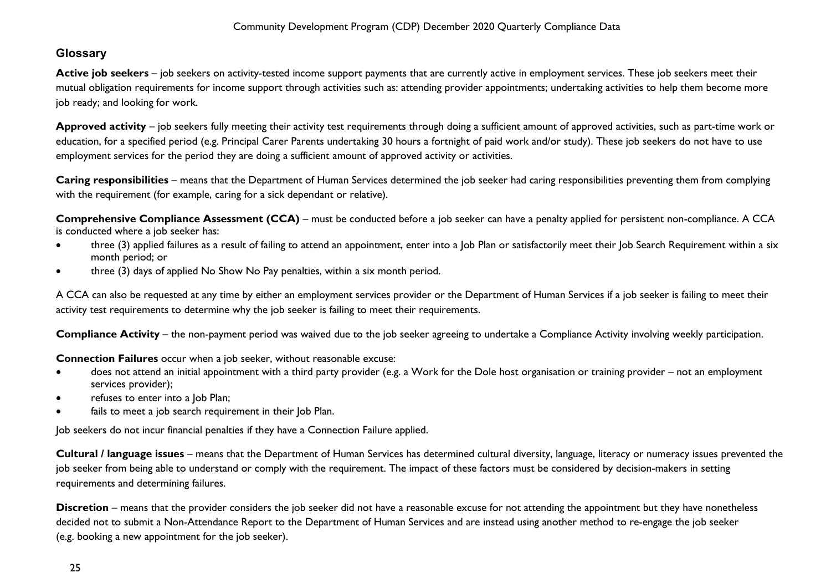## <span id="page-25-0"></span>**Glossary**

Active job seekers – job seekers on activity-tested income support payments that are currently active in employment services. These job seekers meet their mutual obligation requirements for income support through activities such as: attending provider appointments; undertaking activities to help them become more job ready; and looking for work.

**Approved activity** – job seekers fully meeting their activity test requirements through doing a sufficient amount of approved activities, such as part-time work or education, for a specified period (e.g. Principal Carer Parents undertaking 30 hours a fortnight of paid work and/or study). These job seekers do not have to use employment services for the period they are doing a sufficient amount of approved activity or activities.

**Caring responsibilities** – means that the Department of Human Services determined the job seeker had caring responsibilities preventing them from complying with the requirement (for example, caring for a sick dependant or relative).

**Comprehensive Compliance Assessment (CCA)** – must be conducted before a job seeker can have a penalty applied for persistent non-compliance. A CCA is conducted where a job seeker has:

- three (3) applied failures as a result of failing to attend an appointment, enter into a Job Plan or satisfactorily meet their Job Search Requirement within a six month period; or
- three (3) days of applied No Show No Pay penalties, within a six month period.

A CCA can also be requested at any time by either an employment services provider or the Department of Human Services if a job seeker is failing to meet their activity test requirements to determine why the job seeker is failing to meet their requirements.

**Compliance Activity** – the non-payment period was waived due to the job seeker agreeing to undertake a Compliance Activity involving weekly participation.

**Connection Failures** occur when a job seeker, without reasonable excuse:

- does not attend an initial appointment with a third party provider (e.g. a Work for the Dole host organisation or training provider not an employment services provider);
- refuses to enter into a Job Plan;
- fails to meet a job search requirement in their Job Plan.

Job seekers do not incur financial penalties if they have a Connection Failure applied.

**Cultural / language issues** – means that the Department of Human Services has determined cultural diversity, language, literacy or numeracy issues prevented the job seeker from being able to understand or comply with the requirement. The impact of these factors must be considered by decision-makers in setting requirements and determining failures.

**Discretion** – means that the provider considers the job seeker did not have a reasonable excuse for not attending the appointment but they have nonetheless decided not to submit a Non-Attendance Report to the Department of Human Services and are instead using another method to re-engage the job seeker (e.g. booking a new appointment for the job seeker).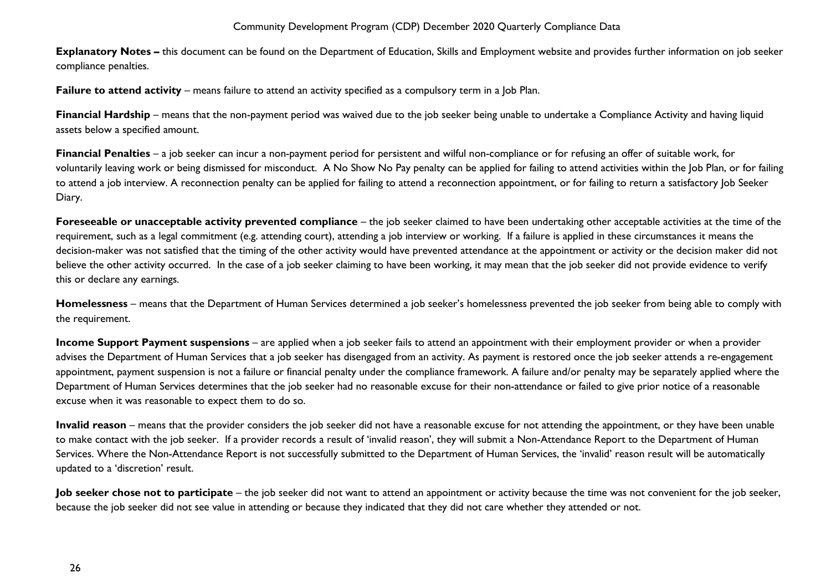**Explanatory Notes –** this document can be found on the Department of Education, Skills and Employment website and provides further information on job seeker compliance penalties.

**Failure to attend activity** – means failure to attend an activity specified as a compulsory term in a Job Plan.

**Financial Hardship** – means that the non-payment period was waived due to the job seeker being unable to undertake a Compliance Activity and having liquid assets below a specified amount.

**Financial Penalties** – a job seeker can incur a non-payment period for persistent and wilful non-compliance or for refusing an offer of suitable work, for voluntarily leaving work or being dismissed for misconduct. A No Show No Pay penalty can be applied for failing to attend activities within the Job Plan, or for failing to attend a job interview. A reconnection penalty can be applied for failing to attend a reconnection appointment, or for failing to return a satisfactory Job Seeker Diary.

**Foreseeable or unacceptable activity prevented compliance** – the job seeker claimed to have been undertaking other acceptable activities at the time of the requirement, such as a legal commitment (e.g. attending court), attending a job interview or working. If a failure is applied in these circumstances it means the decision-maker was not satisfied that the timing of the other activity would have prevented attendance at the appointment or activity or the decision maker did not believe the other activity occurred. In the case of a job seeker claiming to have been working, it may mean that the job seeker did not provide evidence to verify this or declare any earnings.

**Homelessness** – means that the Department of Human Services determined a job seeker's homelessness prevented the job seeker from being able to comply with the requirement.

**Income Support Payment suspensions** – are applied when a job seeker fails to attend an appointment with their employment provider or when a provider advises the Department of Human Services that a job seeker has disengaged from an activity. As payment is restored once the job seeker attends a re-engagement appointment, payment suspension is not a failure or financial penalty under the compliance framework. A failure and/or penalty may be separately applied where the Department of Human Services determines that the job seeker had no reasonable excuse for their non-attendance or failed to give prior notice of a reasonable excuse when it was reasonable to expect them to do so.

**Invalid reason** – means that the provider considers the job seeker did not have a reasonable excuse for not attending the appointment, or they have been unable to make contact with the job seeker. If a provider records a result of 'invalid reason', they will submit a Non-Attendance Report to the Department of Human Services. Where the Non-Attendance Report is not successfully submitted to the Department of Human Services, the 'invalid' reason result will be automatically updated to a 'discretion' result.

**Job seeker chose not to participate** – the job seeker did not want to attend an appointment or activity because the time was not convenient for the job seeker, because the job seeker did not see value in attending or because they indicated that they did not care whether they attended or not.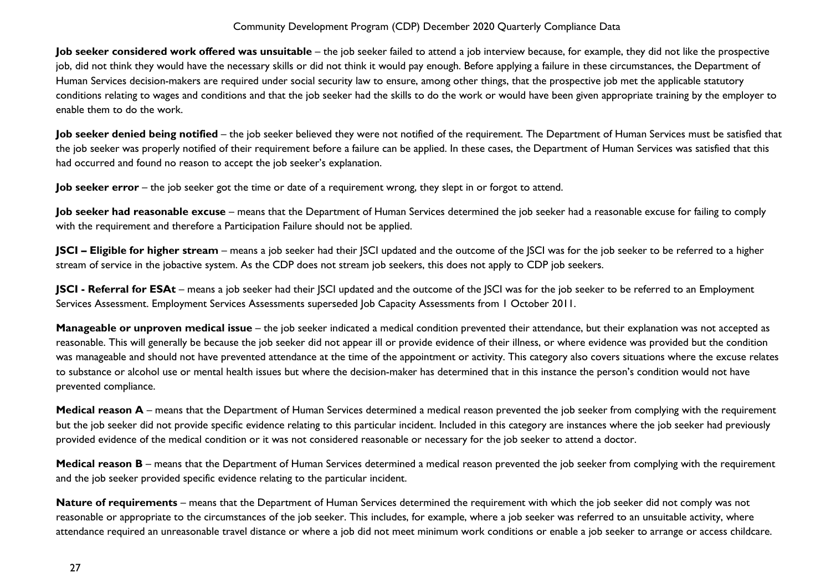**Job seeker considered work offered was unsuitable** – the job seeker failed to attend a job interview because, for example, they did not like the prospective job, did not think they would have the necessary skills or did not think it would pay enough. Before applying a failure in these circumstances, the Department of Human Services decision-makers are required under social security law to ensure, among other things, that the prospective job met the applicable statutory conditions relating to wages and conditions and that the job seeker had the skills to do the work or would have been given appropriate training by the employer to enable them to do the work.

**Job seeker denied being notified** – the job seeker believed they were not notified of the requirement. The Department of Human Services must be satisfied that the job seeker was properly notified of their requirement before a failure can be applied. In these cases, the Department of Human Services was satisfied that this had occurred and found no reason to accept the job seeker's explanation.

**Job seeker error** – the job seeker got the time or date of a requirement wrong, they slept in or forgot to attend.

Job seeker had reasonable excuse - means that the Department of Human Services determined the job seeker had a reasonable excuse for failing to comply with the requirement and therefore a Participation Failure should not be applied.

**JSCI – Eligible for higher stream** – means a job seeker had their JSCI updated and the outcome of the JSCI was for the job seeker to be referred to a higher stream of service in the jobactive system. As the CDP does not stream job seekers, this does not apply to CDP job seekers.

**JSCI - Referral for ESAt** – means a job seeker had their JSCI updated and the outcome of the JSCI was for the job seeker to be referred to an Employment Services Assessment. Employment Services Assessments superseded Job Capacity Assessments from 1 October 2011.

**Manageable or unproven medical issue** – the job seeker indicated a medical condition prevented their attendance, but their explanation was not accepted as reasonable. This will generally be because the job seeker did not appear ill or provide evidence of their illness, or where evidence was provided but the condition was manageable and should not have prevented attendance at the time of the appointment or activity. This category also covers situations where the excuse relates to substance or alcohol use or mental health issues but where the decision-maker has determined that in this instance the person's condition would not have prevented compliance.

**Medical reason A** – means that the Department of Human Services determined a medical reason prevented the job seeker from complying with the requirement but the job seeker did not provide specific evidence relating to this particular incident. Included in this category are instances where the job seeker had previously provided evidence of the medical condition or it was not considered reasonable or necessary for the job seeker to attend a doctor.

**Medical reason B** – means that the Department of Human Services determined a medical reason prevented the job seeker from complying with the requirement and the job seeker provided specific evidence relating to the particular incident.

**Nature of requirements** – means that the Department of Human Services determined the requirement with which the job seeker did not comply was not reasonable or appropriate to the circumstances of the job seeker. This includes, for example, where a job seeker was referred to an unsuitable activity, where attendance required an unreasonable travel distance or where a job did not meet minimum work conditions or enable a job seeker to arrange or access childcare.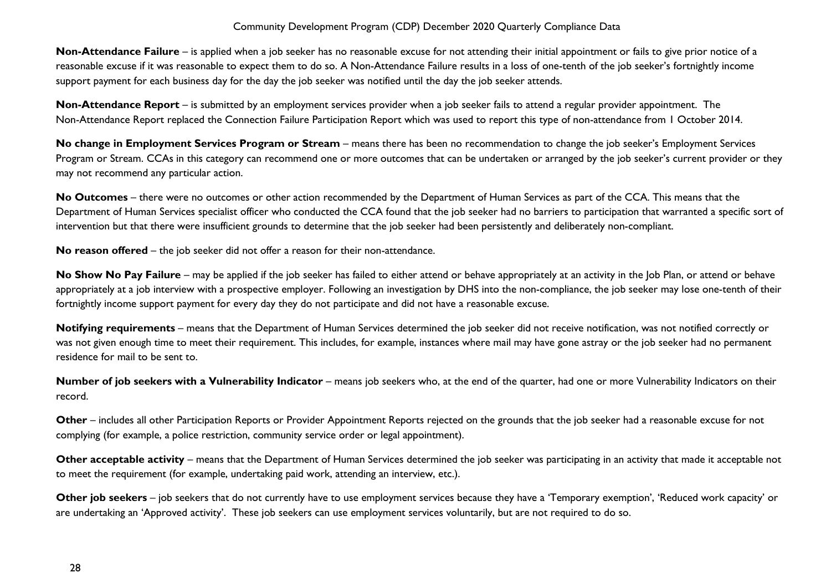**Non-Attendance Failure** – is applied when a job seeker has no reasonable excuse for not attending their initial appointment or fails to give prior notice of a reasonable excuse if it was reasonable to expect them to do so. A Non-Attendance Failure results in a loss of one-tenth of the job seeker's fortnightly income support payment for each business day for the day the job seeker was notified until the day the job seeker attends.

**Non-Attendance Report** – is submitted by an employment services provider when a job seeker fails to attend a regular provider appointment. The Non-Attendance Report replaced the Connection Failure Participation Report which was used to report this type of non-attendance from 1 October 2014.

**No change in Employment Services Program or Stream** – means there has been no recommendation to change the job seeker's Employment Services Program or Stream. CCAs in this category can recommend one or more outcomes that can be undertaken or arranged by the job seeker's current provider or they may not recommend any particular action.

**No Outcomes** – there were no outcomes or other action recommended by the Department of Human Services as part of the CCA. This means that the Department of Human Services specialist officer who conducted the CCA found that the job seeker had no barriers to participation that warranted a specific sort of intervention but that there were insufficient grounds to determine that the job seeker had been persistently and deliberately non-compliant.

**No reason offered** – the job seeker did not offer a reason for their non-attendance.

No Show No Pay Failure – may be applied if the job seeker has failed to either attend or behave appropriately at an activity in the Job Plan, or attend or behave appropriately at a job interview with a prospective employer. Following an investigation by DHS into the non-compliance, the job seeker may lose one-tenth of their fortnightly income support payment for every day they do not participate and did not have a reasonable excuse.

**Notifying requirements** – means that the Department of Human Services determined the job seeker did not receive notification, was not notified correctly or was not given enough time to meet their requirement. This includes, for example, instances where mail may have gone astray or the job seeker had no permanent residence for mail to be sent to.

**Number of job seekers with a Vulnerability Indicator** – means job seekers who, at the end of the quarter, had one or more Vulnerability Indicators on their record.

**Other** – includes all other Participation Reports or Provider Appointment Reports rejected on the grounds that the job seeker had a reasonable excuse for not complying (for example, a police restriction, community service order or legal appointment).

**Other acceptable activity** – means that the Department of Human Services determined the job seeker was participating in an activity that made it acceptable not to meet the requirement (for example, undertaking paid work, attending an interview, etc.).

**Other job seekers** – job seekers that do not currently have to use employment services because they have a 'Temporary exemption', 'Reduced work capacity' or are undertaking an 'Approved activity'. These job seekers can use employment services voluntarily, but are not required to do so.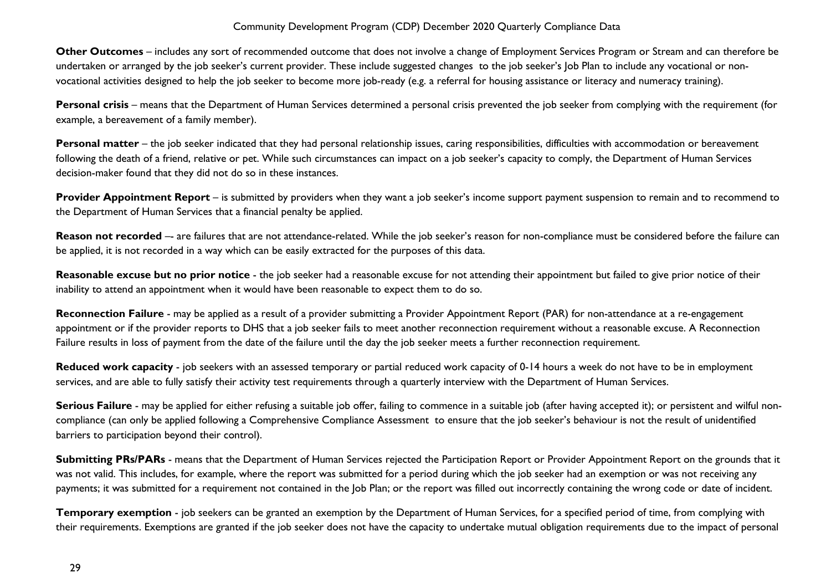**Other Outcomes** – includes any sort of recommended outcome that does not involve a change of Employment Services Program or Stream and can therefore be undertaken or arranged by the job seeker's current provider. These include suggested changes to the job seeker's Job Plan to include any vocational or nonvocational activities designed to help the job seeker to become more job-ready (e.g. a referral for housing assistance or literacy and numeracy training).

**Personal crisis** – means that the Department of Human Services determined a personal crisis prevented the job seeker from complying with the requirement (for example, a bereavement of a family member).

Personal matter – the job seeker indicated that they had personal relationship issues, caring responsibilities, difficulties with accommodation or bereavement following the death of a friend, relative or pet. While such circumstances can impact on a job seeker's capacity to comply, the Department of Human Services decision-maker found that they did not do so in these instances.

**Provider Appointment Report** – is submitted by providers when they want a job seeker's income support payment suspension to remain and to recommend to the Department of Human Services that a financial penalty be applied.

Reason not recorded -- are failures that are not attendance-related. While the job seeker's reason for non-compliance must be considered before the failure can be applied, it is not recorded in a way which can be easily extracted for the purposes of this data.

**Reasonable excuse but no prior notice** - the job seeker had a reasonable excuse for not attending their appointment but failed to give prior notice of their inability to attend an appointment when it would have been reasonable to expect them to do so.

**Reconnection Failure** - may be applied as a result of a provider submitting a Provider Appointment Report (PAR) for non-attendance at a re-engagement appointment or if the provider reports to DHS that a job seeker fails to meet another reconnection requirement without a reasonable excuse. A Reconnection Failure results in loss of payment from the date of the failure until the day the job seeker meets a further reconnection requirement.

**Reduced work capacity** - job seekers with an assessed temporary or partial reduced work capacity of 0-14 hours a week do not have to be in employment services, and are able to fully satisfy their activity test requirements through a quarterly interview with the Department of Human Services.

**Serious Failure** - may be applied for either refusing a suitable job offer, failing to commence in a suitable job (after having accepted it); or persistent and wilful noncompliance (can only be applied following a Comprehensive Compliance Assessment to ensure that the job seeker's behaviour is not the result of unidentified barriers to participation beyond their control).

**Submitting PRs/PARs** - means that the Department of Human Services rejected the Participation Report or Provider Appointment Report on the grounds that it was not valid. This includes, for example, where the report was submitted for a period during which the job seeker had an exemption or was not receiving any payments; it was submitted for a requirement not contained in the Job Plan; or the report was filled out incorrectly containing the wrong code or date of incident.

**Temporary exemption** - job seekers can be granted an exemption by the Department of Human Services, for a specified period of time, from complying with their requirements. Exemptions are granted if the job seeker does not have the capacity to undertake mutual obligation requirements due to the impact of personal